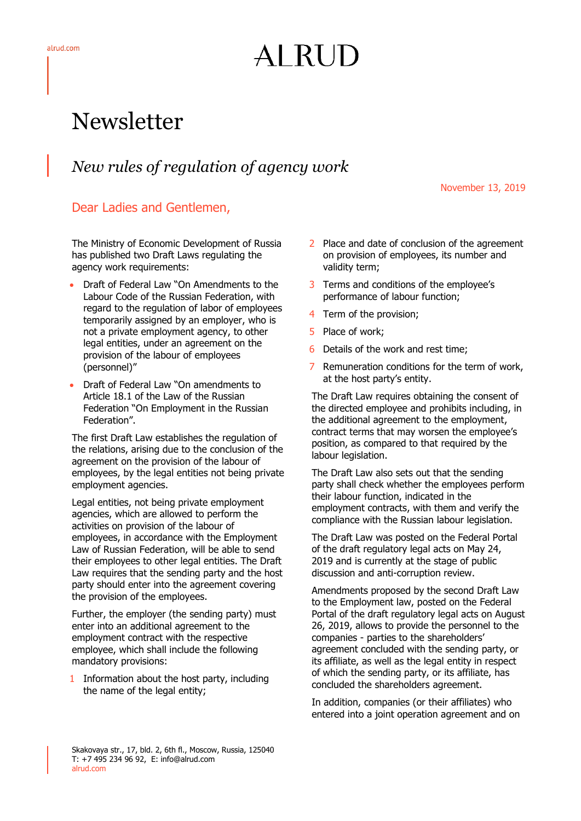## AI RUD

## Newsletter

## *New rules of regulation of agency work*

November 13, 2019

## Dear Ladies and Gentlemen,

The Ministry of Economic Development of Russia has published two Draft Laws regulating the agency work requirements:

- Draft of Federal Law "On Amendments to the Labour Code of the Russian Federation, with regard to the regulation of labor of employees temporarily assigned by an employer, who is not a private employment agency, to other legal entities, under an agreement on the provision of the labour of employees (personnel)"
- Draft of Federal Law "On amendments to Article 18.1 of the Law of the Russian Federation "On Employment in the Russian Federation".

The first Draft Law establishes the regulation of the relations, arising due to the conclusion of the agreement on the provision of the labour of employees, by the legal entities not being private employment agencies.

Legal entities, not being private employment agencies, which are allowed to perform the activities on provision of the labour of employees, in accordance with the Employment Law of Russian Federation, will be able to send their employees to other legal entities. The Draft Law requires that the sending party and the host party should enter into the agreement covering the provision of the employees.

Further, the employer (the sending party) must enter into an additional agreement to the employment contract with the respective employee, which shall include the following mandatory provisions:

1 Information about the host party, including the name of the legal entity;

- 2 Place and date of conclusion of the agreement on provision of employees, its number and validity term;
- 3 Terms and conditions of the employee's performance of labour function;
- 4 Term of the provision;
- 5 Place of work;
- 6 Details of the work and rest time;
- 7 Remuneration conditions for the term of work, at the host party's entity.

The Draft Law requires obtaining the consent of the directed employee and prohibits including, in the additional agreement to the employment, contract terms that may worsen the employee's position, as compared to that required by the labour legislation.

The Draft Law also sets out that the sending party shall check whether the employees perform their labour function, indicated in the employment contracts, with them and verify the compliance with the Russian labour legislation.

The Draft Law was posted on the Federal Portal of the draft regulatory legal acts on May 24, 2019 and is currently at the stage of public discussion and anti-corruption review.

Amendments proposed by the second Draft Law to the Employment law, posted on the Federal Portal of the draft regulatory legal acts on August 26, 2019, allows to provide the personnel to the companies - parties to the shareholders' agreement concluded with the sending party, or its affiliate, as well as the legal entity in respect of which the sending party, or its affiliate, has concluded the shareholders agreement.

In addition, companies (or their affiliates) who entered into a joint operation agreement and on